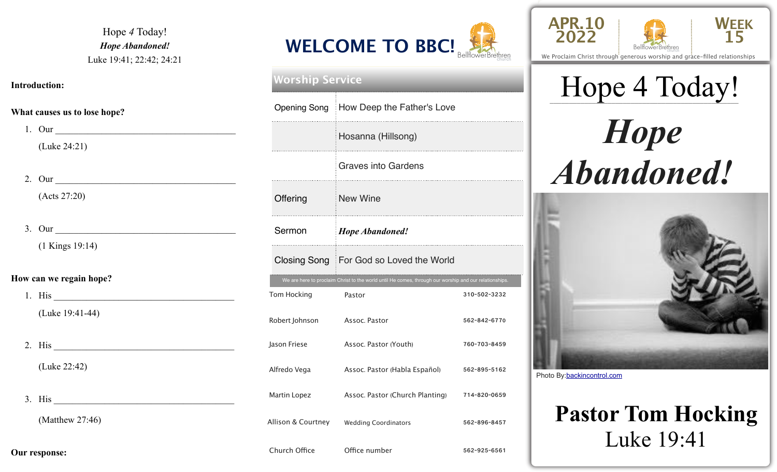Hope *4* Today! *Hope Abandoned!*  Luke 19:41; 22:42; 24:21

#### **Introduction:**

#### **What causes us to lose hope?**

|                         | 1. Our                             |  |  |  |
|-------------------------|------------------------------------|--|--|--|
|                         | (Luke 24:21)                       |  |  |  |
|                         |                                    |  |  |  |
|                         | 2. Our                             |  |  |  |
|                         | (Acts 27:20)                       |  |  |  |
|                         |                                    |  |  |  |
|                         | 3. Our                             |  |  |  |
|                         | $(1$ Kings 19:14)                  |  |  |  |
|                         |                                    |  |  |  |
| How can we regain hope? |                                    |  |  |  |
|                         | 1. His $\overline{\phantom{a}}$ 1. |  |  |  |
|                         | (Luke 19:41-44)                    |  |  |  |
|                         |                                    |  |  |  |
|                         |                                    |  |  |  |
|                         | (Luke 22:42)                       |  |  |  |
|                         |                                    |  |  |  |
|                         |                                    |  |  |  |
|                         | 3. His                             |  |  |  |
|                         | (Matthew $27:46$ )                 |  |  |  |



## Tom Hocking Pastor **Pastor** 310-502-3232 Robert Johnson Assoc. Pastor 562-842-6770 Jason Friese **Assoc. Pastor (Youth)** 760-703-8459 Alfredo Vega Assoc. Pastor (Habla Español) 562-895-5162 Martin Lopez **Assoc. Pastor (Church Planting)** 714-820-0659 Allison & Courtney Wedding Coordinators 562-896-8457 We are here to proclaim Christ to the world until He comes, through our worship and our relationships. **Worship Service** Opening Song How Deep the Father's Love Hosanna (Hillsong) Graves into Gardens Offering New Wine Sermon *Hope Abandoned!* Closing Song For God so Loved the World





We Proclaim Christ through generous worship and grace-filled relationships

# Hope 4 Today! *Hope Abandoned!*



Photo By:[backincontrol.com](http://backincontrol.com)

### **Pastor Tom Hocking**  Luke 19:41

Church Office **Office number** 562-925-6561